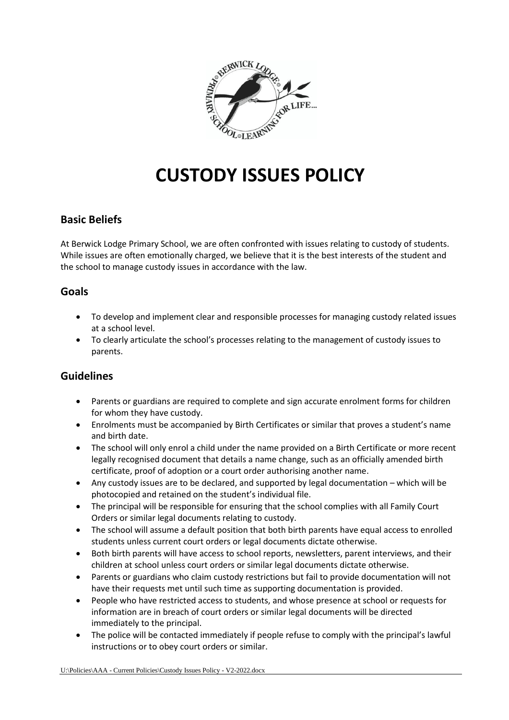

# **CUSTODY ISSUES POLICY**

# **Basic Beliefs**

At Berwick Lodge Primary School, we are often confronted with issues relating to custody of students. While issues are often emotionally charged, we believe that it is the best interests of the student and the school to manage custody issues in accordance with the law.

### **Goals**

- To develop and implement clear and responsible processes for managing custody related issues at a school level.
- To clearly articulate the school's processes relating to the management of custody issues to parents.

#### **Guidelines**

- Parents or guardians are required to complete and sign accurate enrolment forms for children for whom they have custody.
- Enrolments must be accompanied by Birth Certificates or similar that proves a student's name and birth date.
- The school will only enrol a child under the name provided on a Birth Certificate or more recent legally recognised document that details a name change, such as an officially amended birth certificate, proof of adoption or a court order authorising another name.
- Any custody issues are to be declared, and supported by legal documentation which will be photocopied and retained on the student's individual file.
- The principal will be responsible for ensuring that the school complies with all Family Court Orders or similar legal documents relating to custody.
- The school will assume a default position that both birth parents have equal access to enrolled students unless current court orders or legal documents dictate otherwise.
- Both birth parents will have access to school reports, newsletters, parent interviews, and their children at school unless court orders or similar legal documents dictate otherwise.
- Parents or guardians who claim custody restrictions but fail to provide documentation will not have their requests met until such time as supporting documentation is provided.
- People who have restricted access to students, and whose presence at school or requests for information are in breach of court orders or similar legal documents will be directed immediately to the principal.
- The police will be contacted immediately if people refuse to comply with the principal's lawful instructions or to obey court orders or similar.